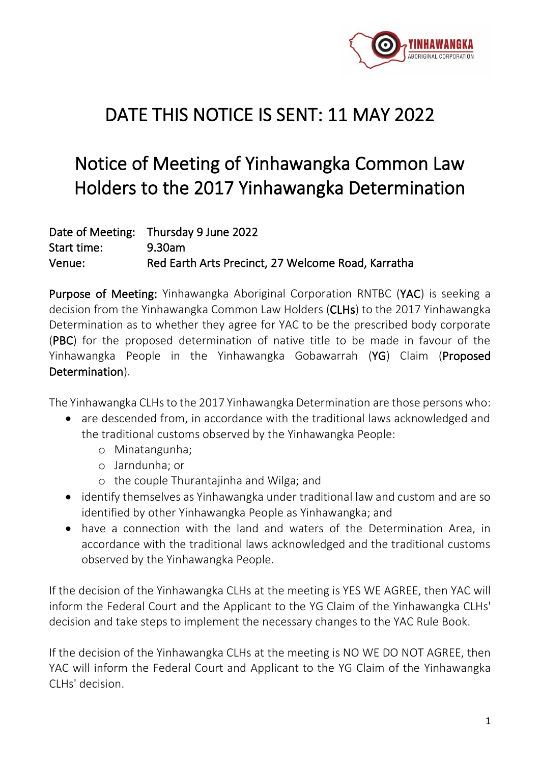

## DATE THIS NOTICE IS SENT: 11 MAY 2022

# Notice of Meeting of Yinhawangka Common Law Holders to the 2017 Yinhawangka Determination

|             | Date of Meeting: Thursday 9 June 2022              |
|-------------|----------------------------------------------------|
| Start time: | 9.30am                                             |
| Venue:      | Red Earth Arts Precinct, 27 Welcome Road, Karratha |

Purpose of Meeting: Yinhawangka Aboriginal Corporation RNTBC (YAC) is seeking a decision from the Yinhawangka Common Law Holders (CLHs) to the 2017 Yinhawangka Determination as to whether they agree for YAC to be the prescribed body corporate (PBC) for the proposed determination of native title to be made in favour of the Yinhawangka People in the Yinhawangka Gobawarrah (YG) Claim (Proposed Determination).

The Yinhawangka CLHs to the 2017 Yinhawangka Determination are those persons who:

- are descended from, in accordance with the traditional laws acknowledged and the traditional customs observed by the Yinhawangka People:
	- o Minatangunha;
	- o Jarndunha; or
	- o the couple Thurantajinha and Wilga; and
- identify themselves as Yinhawangka under traditional law and custom and are so identified by other Yinhawangka People as Yinhawangka; and
- have a connection with the land and waters of the Determination Area, in accordance with the traditional laws acknowledged and the traditional customs observed by the Yinhawangka People.

If the decision of the Yinhawangka CLHs at the meeting is YES WE AGREE, then YAC will inform the Federal Court and the Applicant to the YG Claim of the Yinhawangka CLHs' decision and take steps to implement the necessary changes to the YAC Rule Book.

If the decision of the Yinhawangka CLHs at the meeting is NO WE DO NOT AGREE, then YAC will inform the Federal Court and Applicant to the YG Claim of the Yinhawangka CLHs' decision.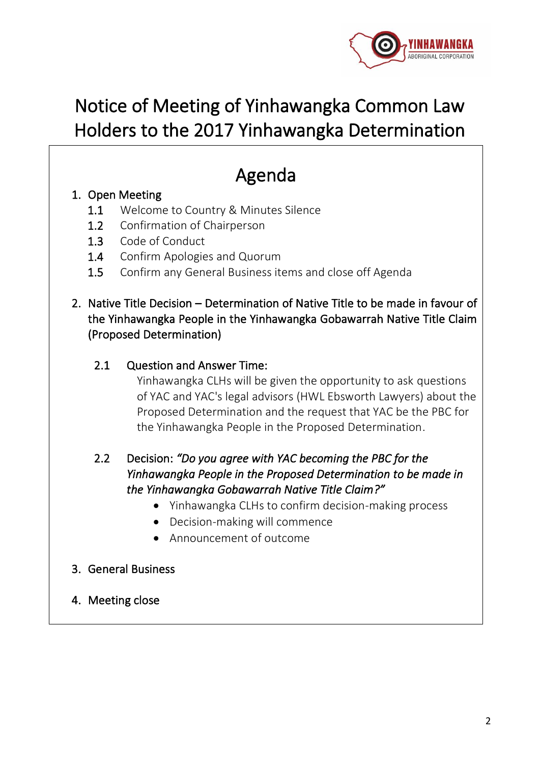

# Notice of Meeting of Yinhawangka Common Law Holders to the 2017 Yinhawangka Determination

# Agenda

## 1. Open Meeting

- 1.1 Welcome to Country & Minutes Silence
- 1.2 Confirmation of Chairperson
- 1.3 Code of Conduct
- 1.4 Confirm Apologies and Quorum
- 1.5 Confirm any General Business items and close off Agenda

### 2. Native Title Decision – Determination of Native Title to be made in favour of the Yinhawangka People in the Yinhawangka Gobawarrah Native Title Claim (Proposed Determination)

#### 2.1 Question and Answer Time:

Yinhawangka CLHs will be given the opportunity to ask questions of YAC and YAC's legal advisors (HWL Ebsworth Lawyers) about the Proposed Determination and the request that YAC be the PBC for the Yinhawangka People in the Proposed Determination.

## 2.2 Decision: *"Do you agree with YAC becoming the PBC for the Yinhawangka People in the Proposed Determination to be made in the Yinhawangka Gobawarrah Native Title Claim?"*

- Yinhawangka CLHs to confirm decision-making process
- Decision-making will commence
- Announcement of outcome

#### 3. General Business

4. Meeting close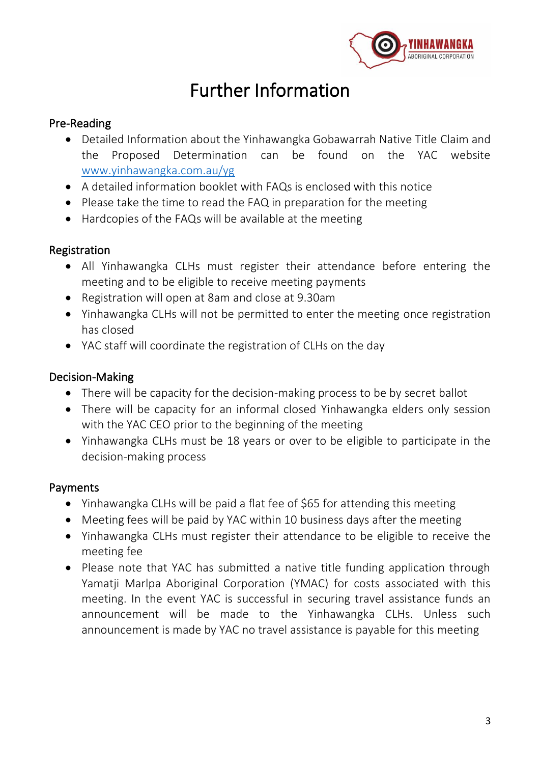

## Further Information

#### Pre-Reading

- Detailed Information about the Yinhawangka Gobawarrah Native Title Claim and the Proposed Determination can be found on the YAC website [www.yinhawangka.com.au/yg](http://www.yinhawangka.com.au/yg)
- A detailed information booklet with FAQs is enclosed with this notice
- Please take the time to read the FAQ in preparation for the meeting
- Hardcopies of the FAQs will be available at the meeting

### Registration

- All Yinhawangka CLHs must register their attendance before entering the meeting and to be eligible to receive meeting payments
- Registration will open at 8am and close at 9.30am
- Yinhawangka CLHs will not be permitted to enter the meeting once registration has closed
- YAC staff will coordinate the registration of CLHs on the day

### Decision-Making

- There will be capacity for the decision-making process to be by secret ballot
- There will be capacity for an informal closed Yinhawangka elders only session with the YAC CEO prior to the beginning of the meeting
- Yinhawangka CLHs must be 18 years or over to be eligible to participate in the decision-making process

## Payments

- Yinhawangka CLHs will be paid a flat fee of \$65 for attending this meeting
- Meeting fees will be paid by YAC within 10 business days after the meeting
- Yinhawangka CLHs must register their attendance to be eligible to receive the meeting fee
- Please note that YAC has submitted a native title funding application through Yamatji Marlpa Aboriginal Corporation (YMAC) for costs associated with this meeting. In the event YAC is successful in securing travel assistance funds an announcement will be made to the Yinhawangka CLHs. Unless such announcement is made by YAC no travel assistance is payable for this meeting